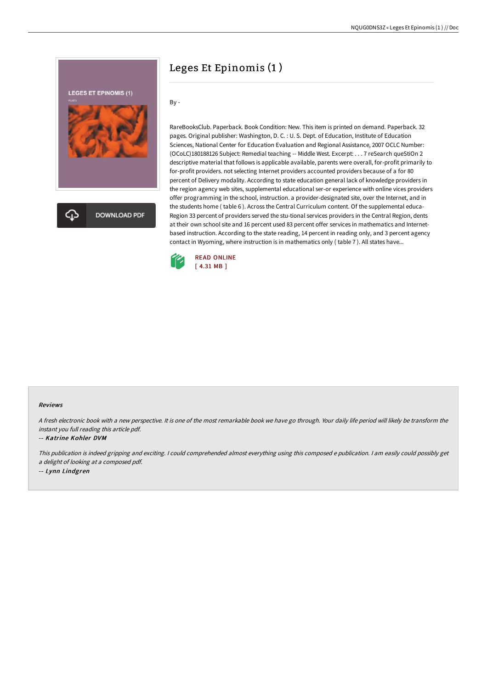

# Leges Et Epinomis (1 )

By -

RareBooksClub. Paperback. Book Condition: New. This item is printed on demand. Paperback. 32 pages. Original publisher: Washington, D. C. : U. S. Dept. of Education, Institute of Education Sciences, National Center for Education Evaluation and Regional Assistance, 2007 OCLC Number: (OCoLC)180188126 Subject: Remedial teaching -- Middle West. Excerpt: . . . 7 reSearch queStiOn 2 descriptive material that follows is applicable available, parents were overall, for-profit primarily to for-profit providers. not selecting Internet providers accounted providers because of a for 80 percent of Delivery modality. According to state education general lack of knowledge providers in the region agency web sites, supplemental educational ser-or experience with online vices providers offer programming in the school, instruction. a provider-designated site, over the Internet, and in the students home ( table 6 ). Across the Central Curriculum content. Of the supplemental educa-Region 33 percent of providers served the stu-tional services providers in the Central Region, dents at their own school site and 16 percent used 83 percent offer services in mathematics and Internetbased instruction. According to the state reading, 14 percent in reading only, and 3 percent agency contact in Wyoming, where instruction is in mathematics only ( table 7 ). All states have...



### Reviews

<sup>A</sup> fresh electronic book with <sup>a</sup> new perspective. It is one of the most remarkable book we have go through. Your daily life period will likely be transform the instant you full reading this article pdf.

#### -- Katrine Kohler DVM

This publication is indeed gripping and exciting. I could comprehended almost everything using this composed <sup>e</sup> publication. I am easily could possibly get <sup>a</sup> delight of looking at <sup>a</sup> composed pdf.

-- Lynn Lindgren